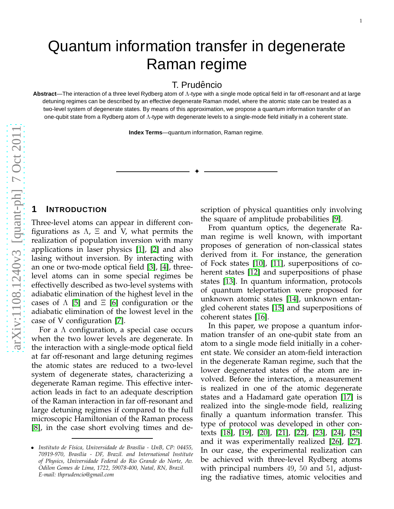# Quantum information transfer in degenerate Raman regime

T. Prudêncio

**Abstract**—The interaction of a three level Rydberg atom of Λ-type with a single mode optical field in far off-resonant and at large detuning regimes can be described by an effective degenerate Raman model, where the atomic state can be treated as a two-level system of degenerate states. By means of this approximation, we propose a quantum information transfer of an one-qubit state from a Rydberg atom of Λ-type with degenerate levels to a single-mode field initially in a coherent state.

**Index Terms**—quantum information, Raman regime.

✦

### **1 INTRODUCTION**

Three-level atoms can appear in different configurations as  $\Lambda$ ,  $\Xi$  and V, what permits the realization of population inversion with many applications in laser physics [\[1\]](#page-3-0), [\[2\]](#page-3-1) and also lasing without inversion. By interacting with an one or two-mode optical field [\[3\]](#page-3-2), [\[4\]](#page-3-3), threelevel atoms can in some special regimes be effectivelly described as two-level systems with adiabatic elimination of the highest level in the cases of  $\Lambda$  [\[5\]](#page-3-4) and  $\Xi$  [\[6\]](#page-3-5) configuration or the adiabatic elimination of the lowest level in the case of V configuration [\[7\]](#page-3-6).

For a Λ configuration, a special case occurs when the two lower levels are degenerate. In the interaction with a single-mode optical field at far off-resonant and large detuning regimes the atomic states are reduced to a two-level system of degenerate states, characterizing a degenerate Raman regime. This effective interaction leads in fact to an adequate description of the Raman interaction in far off-resonant and large detuning regimes if compared to the full microscopic Hamiltonian of the Raman process [\[8\]](#page-3-7), in the case short evolving times and description of physical quantities only involving the square of amplitude probabilities [\[9\]](#page-3-8).

From quantum optics, the degenerate Raman regime is well known, with important proposes of generation of non-classical states derived from it. For instance, the generation of Fock states [\[10\]](#page-3-9), [\[11\]](#page-3-10), superpositions of coherent states [\[12\]](#page-3-11) and superpositions of phase states [\[13\]](#page-3-12). In quantum information, protocols of quantum teleportation were proposed for unknown atomic states [\[14\]](#page-3-13), unknown entangled coherent states [\[15\]](#page-3-14) and superpositions of coherent states [\[16\]](#page-3-15).

In this paper, we propose a quantum information transfer of an one-qubit state from an atom to a single mode field initially in a coherent state. We consider an atom-field interaction in the degenerate Raman regime, such that the lower degenerated states of the atom are involved. Before the interaction, a measurement is realized in one of the atomic degenerate states and a Hadamard gate operation [\[17\]](#page-3-16) is realized into the single-mode field, realizing finally a quantum information transfer. This type of protocol was developed in other contexts [\[18\]](#page-3-17), [\[19\]](#page-3-18), [\[20\]](#page-3-19), [\[21\]](#page-3-20), [\[22\]](#page-4-0), [\[23\]](#page-4-1), [\[24\]](#page-4-2), [\[25\]](#page-4-3) and it was experimentally realized [\[26\]](#page-4-4), [\[27\]](#page-4-5). In our case, the experimental realization can be achieved with three-level Rydberg atoms with principal numbers 49 , 50 and 51, adjusting the radiative times, atomic velocities and

<sup>•</sup> *Instituto de F´ısica, Universidade de Bras´ılia - UnB, CP: 04455, 70919-970, Bras´ılia - DF, Brazil. and International Institute of Physics, Universidade Federal do Rio Grande do Norte, Av. Odilon Gomes de Lima, 1722, 59078-400, Natal, RN, Brazil. E-mail: thprudencio@gmail.com*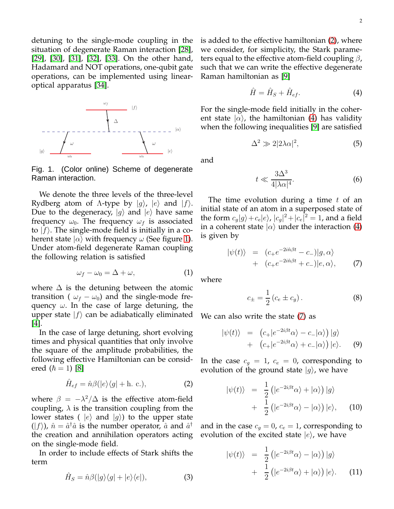detuning to the single-mode coupling in the situation of degenerate Raman interaction [\[28\]](#page-4-6), [\[29\]](#page-4-7), [\[30\]](#page-4-8), [\[31\]](#page-4-9), [\[32\]](#page-4-10), [\[33\]](#page-4-11). On the other hand, Hadamard and NOT operations, one-qubit gate operations, can be implemented using linearoptical apparatus [\[34\]](#page-4-12).



<span id="page-1-0"></span>Fig. 1. (Color online) Scheme of degenerate Raman interaction.

We denote the three levels of the three-level Rydberg atom of  $\Lambda$ -type by  $|g\rangle$ ,  $|e\rangle$  and  $|f\rangle$ . Due to the degeneracy,  $|g\rangle$  and  $|e\rangle$  have same frequency  $\omega_0$ . The frequency  $\omega_f$  is associated to  $|f\rangle$ . The single-mode field is initially in a coherent state  $|\alpha\rangle$  with frequency  $\omega$  (See figure [1\)](#page-1-0). Under atom-field degenerate Raman coupling the following relation is satisfied

$$
\omega_f - \omega_0 = \Delta + \omega, \tag{1}
$$

where  $\Delta$  is the detuning between the atomic transition (  $\omega_f - \omega_0$ ) and the single-mode frequency  $\omega$ . In the case of large detuning, the upper state  $|f\rangle$  can be adiabatically eliminated [\[4\]](#page-3-3).

In the case of large detuning, short evolving times and physical quantities that only involve the square of the amplitude probabilities, the following effective Hamiltonian can be considered  $(\hbar = 1)$  [\[8\]](#page-3-7)

<span id="page-1-1"></span>
$$
\hat{H}_{ef} = \hat{n}\beta(|e\rangle\langle g| + \text{h. c.}),\tag{2}
$$

where  $\beta = -\lambda^2/\Delta$  is the effective atom-field coupling,  $\lambda$  is the transition coupling from the lower states (  $|e\rangle$  and  $|g\rangle$ ) to the upper state  $(|f\rangle)$ ,  $\hat{n} = \hat{a}^{\dagger} \hat{a}$  is the number operator,  $\hat{a}$  and  $\hat{a}^{\dagger}$ the creation and annihilation operators acting on the single-mode field.

In order to include effects of Stark shifts the term

$$
\hat{H}_S = \hat{n}\beta(|g\rangle\langle g| + |e\rangle\langle e|),\tag{3}
$$

<span id="page-1-2"></span>
$$
\hat{H} = \hat{H}_S + \hat{H}_{ef}.
$$
\n(4)

For the single-mode field initially in the coherent state  $|\alpha\rangle$ , the hamiltonian [\(4\)](#page-1-2) has validity when the following inequalities [\[9\]](#page-3-8) are satisfied

<span id="page-1-6"></span>
$$
\Delta^2 \gg 2|2\lambda\alpha|^2,\tag{5}
$$

and

<span id="page-1-5"></span>
$$
t \ll \frac{3\Delta^3}{4|\lambda\alpha|^4}.\tag{6}
$$

The time evolution during a time  $t$  of an initial state of an atom in a superposed state of the form  $c_g|g\rangle + c_e|e\rangle$ ,  $|c_g|^2 + |c_e|^2 = 1$ , and a field in a coherent state  $|\alpha\rangle$  under the interaction [\(4\)](#page-1-2) is given by

<span id="page-1-3"></span>
$$
|\psi(t)\rangle = (c_+e^{-2i\hat{n}\beta t} - c_-)|g,\alpha\rangle + (c_+e^{-2i\hat{n}\beta t} + c_-)|e,\alpha\rangle,
$$
 (7)

where

<span id="page-1-4"></span>
$$
c_{\pm} = \frac{1}{2} (c_e \pm c_g).
$$
 (8)

We can also write the state [\(7\)](#page-1-3) as

$$
|\psi(t)\rangle = (c_{+}|e^{-2i\beta t}\alpha\rangle - c_{-}|\alpha\rangle)|g\rangle
$$
  
+ 
$$
(c_{+}|e^{-2i\beta t}\alpha\rangle + c_{-}|\alpha\rangle)|e\rangle.
$$
 (9)

In the case  $c_g = 1$ ,  $c_e = 0$ , corresponding to evolution of the ground state  $|g\rangle$ , we have

$$
|\psi(t)\rangle = \frac{1}{2} (|e^{-2i\beta t}\alpha\rangle + |\alpha\rangle) |g\rangle
$$
  
+ 
$$
\frac{1}{2} (|e^{-2i\beta t}\alpha\rangle - |\alpha\rangle) |e\rangle,
$$
 (10)

and in the case  $c_q = 0$ ,  $c_e = 1$ , corresponding to evolution of the excited state  $|e\rangle$ , we have

$$
\begin{aligned} |\psi(t)\rangle &= \frac{1}{2} \left( |e^{-2i\beta t} \alpha \rangle - |\alpha \rangle \right) |g\rangle \\ &+ \frac{1}{2} \left( |e^{-2i\beta t} \alpha \rangle + |\alpha \rangle \right) |e\rangle. \end{aligned} \tag{11}
$$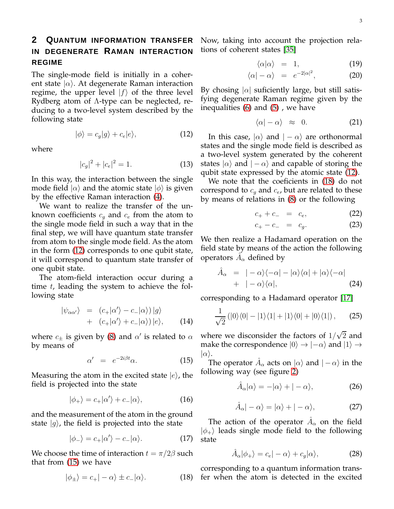## **2 QUANTUM INFORMATION TRANSFER IN DEGENERATE RAMAN INTERACTION REGIME**

The single-mode field is initially in a coherent state  $|\alpha\rangle$ . At degenerate Raman interaction regime, the upper level  $|f\rangle$  of the three level Rydberg atom of Λ-type can be neglected, reducing to a two-level system described by the following state

<span id="page-2-0"></span>
$$
|\phi\rangle = c_g|g\rangle + c_e|e\rangle, \qquad (12)
$$

where

$$
|c_g|^2 + |c_e|^2 = 1.
$$
 (13)

In this way, the interaction between the single mode field  $|\alpha\rangle$  and the atomic state  $|\phi\rangle$  is given by the effective Raman interaction [\(4\)](#page-1-2).

We want to realize the transfer of the unknown coefficients  $c_q$  and  $c_e$  from the atom to the single mode field in such a way that in the final step, we will have quantum state transfer from atom to the single mode field. As the atom in the form [\(12\)](#page-2-0) corresponds to one qubit state, it will correspond to quantum state transfer of one qubit state.

The atom-field interaction occur during a time  $t$ , leading the system to achieve the following state

$$
\begin{array}{rcl}\n|\psi_{\alpha\alpha'}\rangle &=& \left(c_{+}|\alpha'\rangle - c_{-}|\alpha\rangle\right)|g\rangle \\
&+ & \left(c_{+}|\alpha'\rangle + c_{-}|\alpha\rangle\right)|e\rangle,\n\end{array}\n\tag{14}
$$

where  $c_{\pm}$  is given by [\(8\)](#page-1-4) and  $\alpha'$  is related to  $\alpha$ by means of

<span id="page-2-1"></span>
$$
\alpha' = e^{-2i\beta t} \alpha.
$$
 (15)

Measuring the atom in the excited state  $|e\rangle$ , the field is projected into the state

$$
|\phi_{+}\rangle = c_{+}|\alpha'\rangle + c_{-}|\alpha\rangle, \qquad (16)
$$

and the measurement of the atom in the ground state  $|g\rangle$ , the field is projected into the state

$$
|\phi_{-}\rangle = c_{+}|\alpha'\rangle - c_{-}|\alpha\rangle. \tag{17}
$$

We choose the time of interaction  $t = \pi/2\beta$  such that from [\(15\)](#page-2-1) we have

<span id="page-2-2"></span>
$$
|\phi_{\pm}\rangle = c_{+}|-\alpha\rangle \pm c_{-}|\alpha\rangle. \tag{18}
$$

Now, taking into account the projection relations of coherent states [\[35\]](#page-4-13)

$$
\langle \alpha | \alpha \rangle = 1, \tag{19}
$$

$$
\langle \alpha | - \alpha \rangle = e^{-2|\alpha|^2}, \tag{20}
$$

By chosing  $|\alpha|$  suficiently large, but still satisfying degenerate Raman regime given by the inequalities [\(6\)](#page-1-5) and [\(5\)](#page-1-6) , we have

$$
\langle \alpha | - \alpha \rangle \approx 0. \tag{21}
$$

In this case,  $|\alpha\rangle$  and  $|-\alpha\rangle$  are orthonormal states and the single mode field is described as a two-level system generated by the coherent states  $|\alpha\rangle$  and  $|-\alpha\rangle$  and capable of storing the qubit state expressed by the atomic state [\(12\)](#page-2-0).

We note that the coeficients in [\(18\)](#page-2-2) do not correspond to  $c_q$  and  $c_e$ , but are related to these by means of relations in [\(8\)](#page-1-4) or the following

$$
c_{+} + c_{-} = c_{e}, \t\t(22)
$$

$$
c_{+} - c_{-} = c_{g}. \t\t(23)
$$

We then realize a Hadamard operation on the field state by means of the action the following operators  $\hat{A}_{\alpha}$  defined by

$$
\hat{A}_{\alpha} = |-\alpha\rangle\langle-\alpha| - |\alpha\rangle\langle\alpha| + |\alpha\rangle\langle-\alpha|
$$
  
+ 
$$
|-\alpha\rangle\langle\alpha|,
$$
 (24)

corresponding to a Hadamard operator [\[17\]](#page-3-16)

$$
\frac{1}{\sqrt{2}}\left(|0\rangle\langle 0| - |1\rangle\langle 1| + |1\rangle\langle 0| + |0\rangle\langle 1|\right),\qquad(25)
$$

where we disconsider the factors of  $1/\sqrt{2}$  and make the correspondence  $|0\rangle \rightarrow |-\alpha\rangle$  and  $|1\rangle \rightarrow$  $|\alpha\rangle$ .

The operator  $\hat{A}_{\alpha}$  acts on  $|\alpha\rangle$  and  $|-\alpha\rangle$  in the following way (see figure [2\)](#page-3-21)

$$
\hat{A}_{\alpha}|\alpha\rangle = -|\alpha\rangle + |-\alpha\rangle, \tag{26}
$$

$$
\hat{A}_{\alpha}| - \alpha \rangle = |\alpha\rangle + | - \alpha \rangle, \tag{27}
$$

The action of the operator  $\hat{A}_{\alpha}$  on the field  $|\phi_{+}\rangle$  leads single mode field to the following state

<span id="page-2-3"></span>
$$
\hat{A}_{\alpha}|\phi_{+}\rangle = c_{e}|-\alpha\rangle + c_{g}|\alpha\rangle, \tag{28}
$$

corresponding to a quantum information transfer when the atom is detected in the excited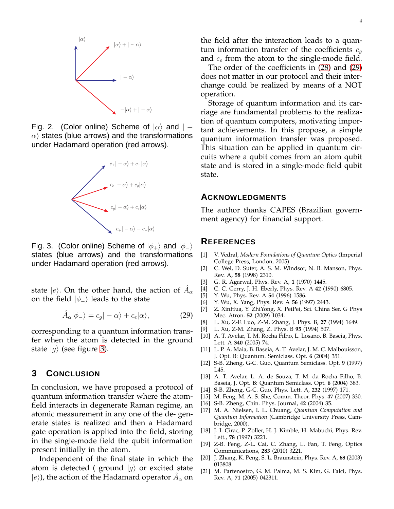

Fig. 2. (Color online) Scheme of  $|\alpha\rangle$  and  $| \alpha$ ) states (blue arrows) and the transformations under Hadamard operation (red arrows).

<span id="page-3-21"></span>

<span id="page-3-22"></span>Fig. 3. (Color online) Scheme of  $|\phi_+\rangle$  and  $|\phi_-\rangle$ states (blue arrows) and the transformations under Hadamard operation (red arrows).

state  $|e\rangle$ . On the other hand, the action of  $\hat{A}_{\alpha}$ on the field  $|\phi_-\rangle$  leads to the state

<span id="page-3-23"></span>
$$
\hat{A}_{\alpha}|\phi_{-}\rangle = c_{g}|-{\alpha}\rangle + c_{e}|\alpha\rangle, \qquad (29)
$$

corresponding to a quantum information transfer when the atom is detected in the ground state  $|g\rangle$  (see figure [3\)](#page-3-22).

## **3 CONCLUSION**

In conclusion, we have proposed a protocol of quantum information transfer where the atomfield interacts in degenerate Raman regime, an atomic measurement in any one of the de- generate states is realized and then a Hadamard gate operation is applied into the field, storing in the single-mode field the qubit information present initially in the atom.

Independent of the final state in which the atom is detected ( ground  $|g\rangle$  or excited state  $|e\rangle$ ), the action of the Hadamard operator  $\hat{A}_\alpha$  on

the field after the interaction leads to a quantum information transfer of the coefficients  $c_q$ and  $c_e$  from the atom to the single-mode field.

The order of the coefficients in [\(28\)](#page-2-3) and [\(29\)](#page-3-23) does not matter in our protocol and their interchange could be realized by means of a NOT operation.

Storage of quantum information and its carriage are fundamental problems to the realization of quantum computers, motivating important achievements. In this propose, a simple quantum information transfer was proposed. This situation can be applied in quantum circuits where a qubit comes from an atom qubit state and is stored in a single-mode field qubit state.

#### **ACKNOWLEDGMENTS**

The author thanks CAPES (Brazilian government agency) for financial support.

#### <span id="page-3-0"></span>**REFERENCES**

- [1] V. Vedral, *Modern Foundations of Quantum Optics* (Imperial College Press, London, 2005).
- <span id="page-3-1"></span>[2] C. Wei, D. Suter, A. S. M. Windsor, N. B. Manson, Phys. Rev. A, **58** (1998) 2310.
- <span id="page-3-3"></span><span id="page-3-2"></span>[3] G. R. Agarwal, Phys. Rev. A, **1** (1970) 1445.
- <span id="page-3-4"></span>[4] C. C. Gerry, J. H. Eberly, Phys. Rev. A **42** (1990) 6805.
- <span id="page-3-5"></span>[5] Y. Wu, Phys. Rev. A **54** (1996) 1586.
- <span id="page-3-6"></span>[6] Y. Wu, X. Yang, Phys. Rev. A **56** (1997) 2443.
- [7] Z. XinHua, Y. ZhiYong, X. PeiPei, Sci. China Ser. G Phys Mec. Atron. **52** (2009) 1034.
- <span id="page-3-8"></span><span id="page-3-7"></span>[8] L. Xu, Z-F. Luo, Z-M. Zhang, J. Phys. B, **27** (1994) 1649.
- <span id="page-3-9"></span>[9] L. Xu, Z-M. Zhang, Z. Phys. B **95** (1994) 507.
- [10] A. T. Avelar, T. M. Rocha Filho, L. Losano, B. Baseia, Phys. Lett. A **340** (2005) 74.
- <span id="page-3-10"></span>[11] L. P. A. Maia, B. Baseia, A. T. Avelar, J. M. C. Malbouisson, J. Opt. B: Quantum. Semiclass. Opt. **6** (2004) 351.
- <span id="page-3-11"></span>[12] S-B. Zheng, G-C. Guo, Quantum Semiclass. Opt. **9** (1997) L45.
- <span id="page-3-12"></span>[13] A. T. Avelar, L. A. de Souza, T. M. da Rocha Filho, B. Baseia, J. Opt. B: Quantum Semiclass. Opt. **6** (2004) 383.
- <span id="page-3-14"></span><span id="page-3-13"></span>[14] S-B. Zheng, G-C. Guo, Phys. Lett. A, **232** (1997) 171.
- <span id="page-3-15"></span>[15] M. Feng, M. A. S. She, Comm. Theor. Phys. **47** (2007) 330.
- <span id="page-3-16"></span>[16] S-B. Zheng, Chin. Phys. Journal, **42** (2004) 35.
- [17] M. A. Nielsen, I. L. Chuang, *Quantum Computation and Quantum Information* (Cambridge University Press, Cambridge, 2000).
- <span id="page-3-17"></span>[18] J. I. Cirac, P. Zoller, H. J. Kimble, H. Mabuchi, Phys. Rev. Lett., **78** (1997) 3221.
- <span id="page-3-18"></span>[19] Z-B. Feng, Z-L. Cai, C. Zhang, L. Fan, T. Feng, Optics Communications, **283** (2010) 3221.
- <span id="page-3-19"></span>[20] J. Zhang, K. Peng, S. L. Braunstein, Phys. Rev. A, **68** (2003) 013808.
- <span id="page-3-20"></span>[21] M. Partenostro, G. M. Palma, M. S. Kim, G. Falci, Phys. Rev. A, **71** (2005) 042311.